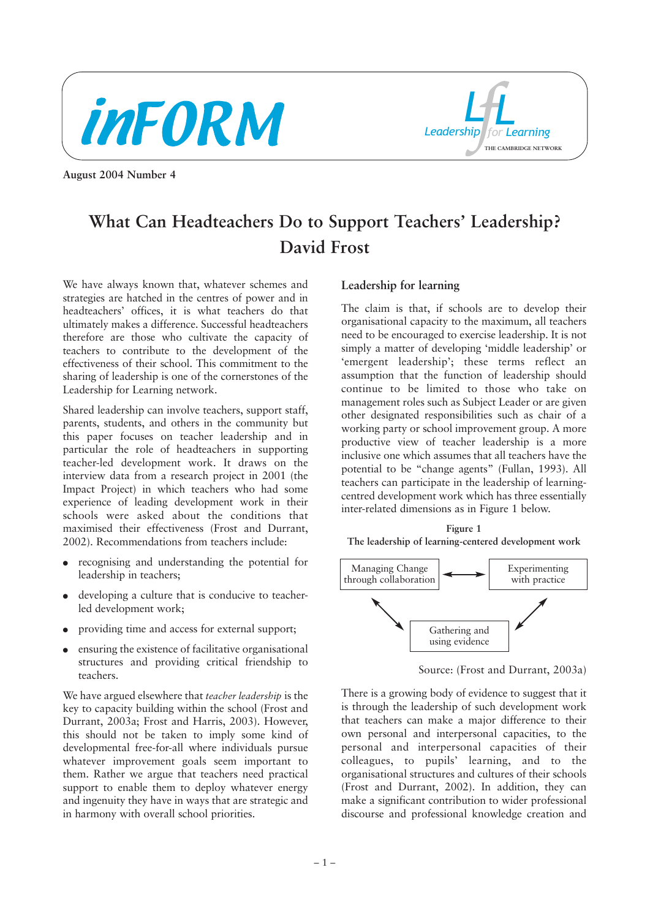



**August 2004 Number 4**

# **What Can Headteachers Do to Support Teachers' Leadership? David Frost**

We have always known that, whatever schemes and strategies are hatched in the centres of power and in headteachers' offices, it is what teachers do that ultimately makes a difference. Successful headteachers therefore are those who cultivate the capacity of teachers to contribute to the development of the effectiveness of their school. This commitment to the sharing of leadership is one of the cornerstones of the Leadership for Learning network.

Shared leadership can involve teachers, support staff, parents, students, and others in the community but this paper focuses on teacher leadership and in particular the role of headteachers in supporting teacher-led development work. It draws on the interview data from a research project in 2001 (the Impact Project) in which teachers who had some experience of leading development work in their schools were asked about the conditions that maximised their effectiveness (Frost and Durrant, 2002). Recommendations from teachers include:

- recognising and understanding the potential for leadership in teachers;
- developing a culture that is conducive to teacherled development work;
- providing time and access for external support;
- ensuring the existence of facilitative organisational structures and providing critical friendship to teachers.

We have argued elsewhere that *teacher leadership* is the key to capacity building within the school (Frost and Durrant, 2003a; Frost and Harris, 2003). However, this should not be taken to imply some kind of developmental free-for-all where individuals pursue whatever improvement goals seem important to them. Rather we argue that teachers need practical support to enable them to deploy whatever energy and ingenuity they have in ways that are strategic and in harmony with overall school priorities.

# **Leadership for learning**

The claim is that, if schools are to develop their organisational capacity to the maximum, all teachers need to be encouraged to exercise leadership. It is not simply a matter of developing 'middle leadership' or 'emergent leadership'; these terms reflect an assumption that the function of leadership should continue to be limited to those who take on management roles such as Subject Leader or are given other designated responsibilities such as chair of a working party or school improvement group. A more productive view of teacher leadership is a more inclusive one which assumes that all teachers have the potential to be "change agents" (Fullan, 1993). All teachers can participate in the leadership of learningcentred development work which has three essentially inter-related dimensions as in Figure 1 below.

**Figure 1 The leadership of learning-centered development work**



Source: (Frost and Durrant, 2003a)

There is a growing body of evidence to suggest that it is through the leadership of such development work that teachers can make a major difference to their own personal and interpersonal capacities, to the personal and interpersonal capacities of their colleagues, to pupils' learning, and to the organisational structures and cultures of their schools (Frost and Durrant, 2002). In addition, they can make a significant contribution to wider professional discourse and professional knowledge creation and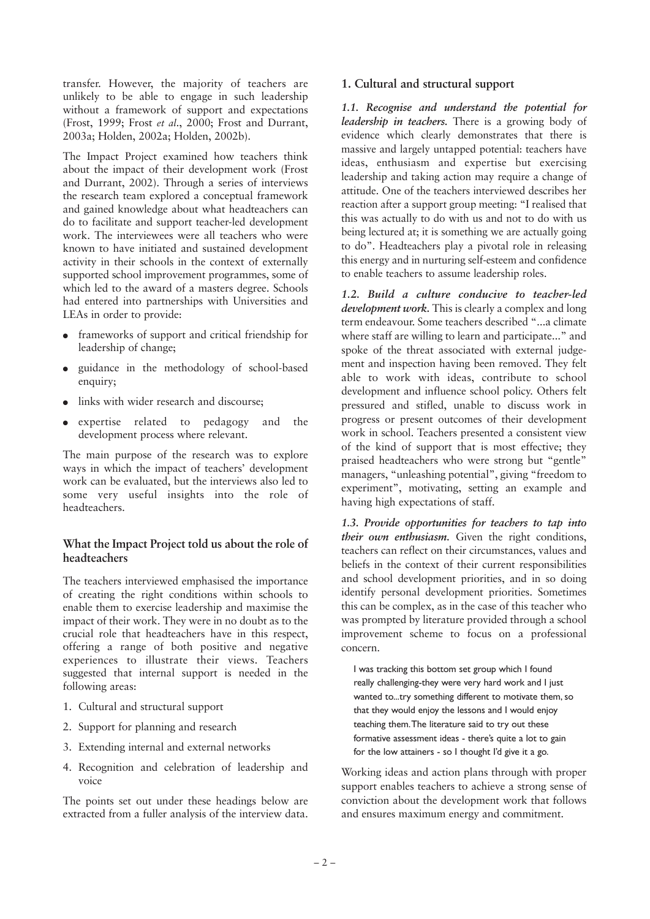transfer. However, the majority of teachers are unlikely to be able to engage in such leadership without a framework of support and expectations (Frost, 1999; Frost *et al*., 2000; Frost and Durrant, 2003a; Holden, 2002a; Holden, 2002b).

The Impact Project examined how teachers think about the impact of their development work (Frost and Durrant, 2002). Through a series of interviews the research team explored a conceptual framework and gained knowledge about what headteachers can do to facilitate and support teacher-led development work. The interviewees were all teachers who were known to have initiated and sustained development activity in their schools in the context of externally supported school improvement programmes, some of which led to the award of a masters degree. Schools had entered into partnerships with Universities and LEAs in order to provide:

- frameworks of support and critical friendship for leadership of change;
- guidance in the methodology of school-based enquiry:
- links with wider research and discourse:
- expertise related to pedagogy and the development process where relevant.

The main purpose of the research was to explore ways in which the impact of teachers' development work can be evaluated, but the interviews also led to some very useful insights into the role of headteachers.

#### **What the Impact Project told us about the role of headteachers**

The teachers interviewed emphasised the importance of creating the right conditions within schools to enable them to exercise leadership and maximise the impact of their work. They were in no doubt as to the crucial role that headteachers have in this respect, offering a range of both positive and negative experiences to illustrate their views. Teachers suggested that internal support is needed in the following areas:

- 1. Cultural and structural support
- 2. Support for planning and research
- 3. Extending internal and external networks
- 4. Recognition and celebration of leadership and voice

The points set out under these headings below are extracted from a fuller analysis of the interview data.

#### **1. Cultural and structural support**

*1.1. Recognise and understand the potential for leadership in teachers.* There is a growing body of evidence which clearly demonstrates that there is massive and largely untapped potential: teachers have ideas, enthusiasm and expertise but exercising leadership and taking action may require a change of attitude. One of the teachers interviewed describes her reaction after a support group meeting: "I realised that this was actually to do with us and not to do with us being lectured at; it is something we are actually going to do". Headteachers play a pivotal role in releasing this energy and in nurturing self-esteem and confidence to enable teachers to assume leadership roles.

*1.2. Build a culture conducive to teacher-led development work.* This is clearly a complex and long term endeavour. Some teachers described "...a climate where staff are willing to learn and participate..." and spoke of the threat associated with external judgement and inspection having been removed. They felt able to work with ideas, contribute to school development and influence school policy. Others felt pressured and stifled, unable to discuss work in progress or present outcomes of their development work in school. Teachers presented a consistent view of the kind of support that is most effective; they praised headteachers who were strong but "gentle" managers, "unleashing potential", giving "freedom to experiment", motivating, setting an example and having high expectations of staff.

*1.3. Provide opportunities for teachers to tap into their own enthusiasm.* Given the right conditions, teachers can reflect on their circumstances, values and beliefs in the context of their current responsibilities and school development priorities, and in so doing identify personal development priorities. Sometimes this can be complex, as in the case of this teacher who was prompted by literature provided through a school improvement scheme to focus on a professional concern.

I was tracking this bottom set group which I found really challenging-they were very hard work and I just wanted to...try something different to motivate them, so that they would enjoy the lessons and I would enjoy teaching them.The literature said to try out these formative assessment ideas - there's quite a lot to gain for the low attainers - so I thought I'd give it a go.

Working ideas and action plans through with proper support enables teachers to achieve a strong sense of conviction about the development work that follows and ensures maximum energy and commitment.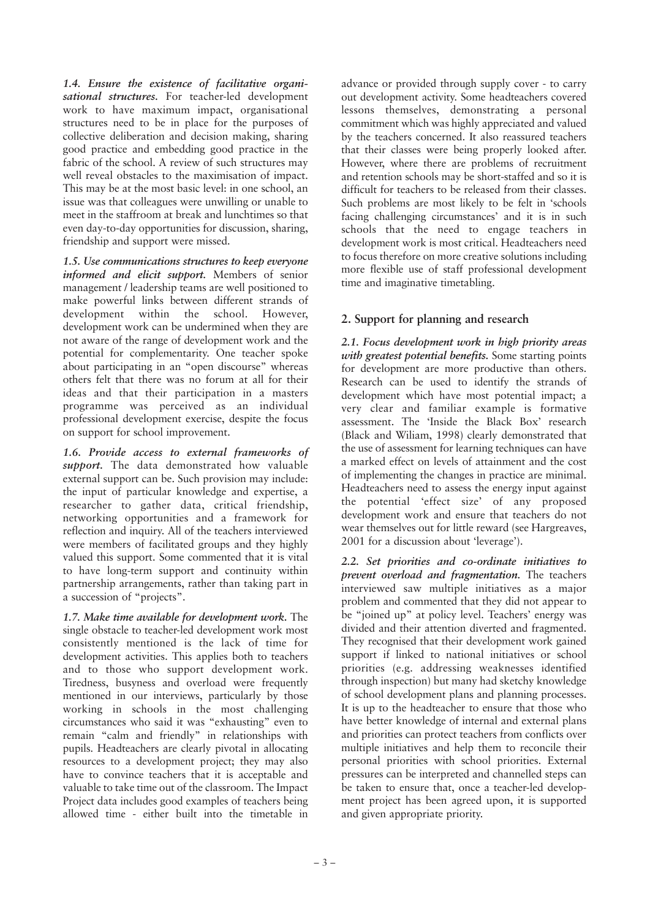*1.4. Ensure the existence of facilitative organisational structures.* For teacher-led development work to have maximum impact, organisational structures need to be in place for the purposes of collective deliberation and decision making, sharing good practice and embedding good practice in the fabric of the school. A review of such structures may well reveal obstacles to the maximisation of impact. This may be at the most basic level: in one school, an issue was that colleagues were unwilling or unable to meet in the staffroom at break and lunchtimes so that even day-to-day opportunities for discussion, sharing, friendship and support were missed.

*1.5. Use communications structures to keep everyone informed and elicit support.* Members of senior management / leadership teams are well positioned to make powerful links between different strands of development within the school. However, development work can be undermined when they are not aware of the range of development work and the potential for complementarity. One teacher spoke about participating in an "open discourse" whereas others felt that there was no forum at all for their ideas and that their participation in a masters programme was perceived as an individual professional development exercise, despite the focus on support for school improvement.

*1.6. Provide access to external frameworks of support.* The data demonstrated how valuable external support can be. Such provision may include: the input of particular knowledge and expertise, a researcher to gather data, critical friendship, networking opportunities and a framework for reflection and inquiry. All of the teachers interviewed were members of facilitated groups and they highly valued this support. Some commented that it is vital to have long-term support and continuity within partnership arrangements, rather than taking part in a succession of "projects".

*1.7. Make time available for development work.* The single obstacle to teacher-led development work most consistently mentioned is the lack of time for development activities. This applies both to teachers and to those who support development work. Tiredness, busyness and overload were frequently mentioned in our interviews, particularly by those working in schools in the most challenging circumstances who said it was "exhausting" even to remain "calm and friendly" in relationships with pupils. Headteachers are clearly pivotal in allocating resources to a development project; they may also have to convince teachers that it is acceptable and valuable to take time out of the classroom. The Impact Project data includes good examples of teachers being allowed time - either built into the timetable in advance or provided through supply cover - to carry out development activity. Some headteachers covered lessons themselves, demonstrating a personal commitment which was highly appreciated and valued by the teachers concerned. It also reassured teachers that their classes were being properly looked after. However, where there are problems of recruitment and retention schools may be short-staffed and so it is difficult for teachers to be released from their classes. Such problems are most likely to be felt in 'schools facing challenging circumstances' and it is in such schools that the need to engage teachers in development work is most critical. Headteachers need to focus therefore on more creative solutions including more flexible use of staff professional development time and imaginative timetabling.

# **2. Support for planning and research**

*2.1. Focus development work in high priority areas with greatest potential benefits.* Some starting points for development are more productive than others. Research can be used to identify the strands of development which have most potential impact; a very clear and familiar example is formative assessment. The 'Inside the Black Box' research (Black and Wiliam, 1998) clearly demonstrated that the use of assessment for learning techniques can have a marked effect on levels of attainment and the cost of implementing the changes in practice are minimal. Headteachers need to assess the energy input against the potential 'effect size' of any proposed development work and ensure that teachers do not wear themselves out for little reward (see Hargreaves, 2001 for a discussion about 'leverage').

*2.2. Set priorities and co-ordinate initiatives to prevent overload and fragmentation.* The teachers interviewed saw multiple initiatives as a major problem and commented that they did not appear to be "joined up" at policy level. Teachers' energy was divided and their attention diverted and fragmented. They recognised that their development work gained support if linked to national initiatives or school priorities (e.g. addressing weaknesses identified through inspection) but many had sketchy knowledge of school development plans and planning processes. It is up to the headteacher to ensure that those who have better knowledge of internal and external plans and priorities can protect teachers from conflicts over multiple initiatives and help them to reconcile their personal priorities with school priorities. External pressures can be interpreted and channelled steps can be taken to ensure that, once a teacher-led development project has been agreed upon, it is supported and given appropriate priority.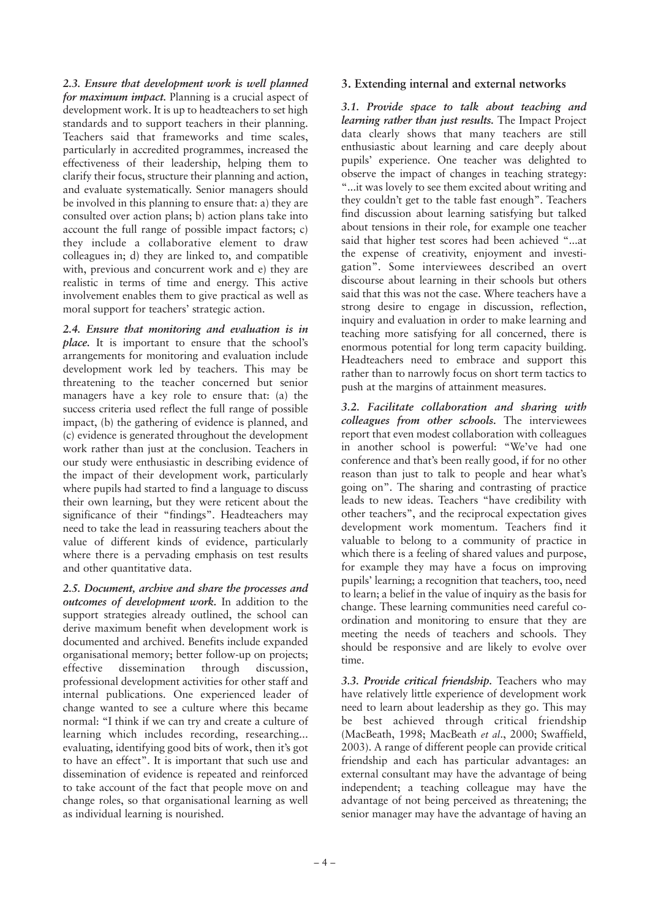*2.3. Ensure that development work is well planned for maximum impact.* Planning is a crucial aspect of development work. It is up to headteachers to set high standards and to support teachers in their planning. Teachers said that frameworks and time scales, particularly in accredited programmes, increased the effectiveness of their leadership, helping them to clarify their focus, structure their planning and action, and evaluate systematically. Senior managers should be involved in this planning to ensure that: a) they are consulted over action plans; b) action plans take into account the full range of possible impact factors; c) they include a collaborative element to draw colleagues in; d) they are linked to, and compatible with, previous and concurrent work and e) they are realistic in terms of time and energy. This active involvement enables them to give practical as well as moral support for teachers' strategic action.

*2.4. Ensure that monitoring and evaluation is in place.* It is important to ensure that the school's arrangements for monitoring and evaluation include development work led by teachers. This may be threatening to the teacher concerned but senior managers have a key role to ensure that: (a) the success criteria used reflect the full range of possible impact, (b) the gathering of evidence is planned, and (c) evidence is generated throughout the development work rather than just at the conclusion. Teachers in our study were enthusiastic in describing evidence of the impact of their development work, particularly where pupils had started to find a language to discuss their own learning, but they were reticent about the significance of their "findings". Headteachers may need to take the lead in reassuring teachers about the value of different kinds of evidence, particularly where there is a pervading emphasis on test results and other quantitative data.

*2.5. Document, archive and share the processes and outcomes of development work.* In addition to the support strategies already outlined, the school can derive maximum benefit when development work is documented and archived. Benefits include expanded organisational memory; better follow-up on projects; effective dissemination through discussion, professional development activities for other staff and internal publications. One experienced leader of change wanted to see a culture where this became normal: "I think if we can try and create a culture of learning which includes recording, researching... evaluating, identifying good bits of work, then it's got to have an effect". It is important that such use and dissemination of evidence is repeated and reinforced to take account of the fact that people move on and change roles, so that organisational learning as well as individual learning is nourished.

#### **3. Extending internal and external networks**

*3.1. Provide space to talk about teaching and learning rather than just results.* The Impact Project data clearly shows that many teachers are still enthusiastic about learning and care deeply about pupils' experience. One teacher was delighted to observe the impact of changes in teaching strategy: "...it was lovely to see them excited about writing and they couldn't get to the table fast enough". Teachers find discussion about learning satisfying but talked about tensions in their role, for example one teacher said that higher test scores had been achieved "...at the expense of creativity, enjoyment and investigation". Some interviewees described an overt discourse about learning in their schools but others said that this was not the case. Where teachers have a strong desire to engage in discussion, reflection, inquiry and evaluation in order to make learning and teaching more satisfying for all concerned, there is enormous potential for long term capacity building. Headteachers need to embrace and support this rather than to narrowly focus on short term tactics to push at the margins of attainment measures.

*3.2. Facilitate collaboration and sharing with colleagues from other schools.* The interviewees report that even modest collaboration with colleagues in another school is powerful: "We've had one conference and that's been really good, if for no other reason than just to talk to people and hear what's going on". The sharing and contrasting of practice leads to new ideas. Teachers "have credibility with other teachers", and the reciprocal expectation gives development work momentum. Teachers find it valuable to belong to a community of practice in which there is a feeling of shared values and purpose, for example they may have a focus on improving pupils' learning; a recognition that teachers, too, need to learn; a belief in the value of inquiry as the basis for change. These learning communities need careful coordination and monitoring to ensure that they are meeting the needs of teachers and schools. They should be responsive and are likely to evolve over time.

*3.3. Provide critical friendship.* Teachers who may have relatively little experience of development work need to learn about leadership as they go. This may be best achieved through critical friendship (MacBeath, 1998; MacBeath *et al*., 2000; Swaffield, 2003). A range of different people can provide critical friendship and each has particular advantages: an external consultant may have the advantage of being independent; a teaching colleague may have the advantage of not being perceived as threatening; the senior manager may have the advantage of having an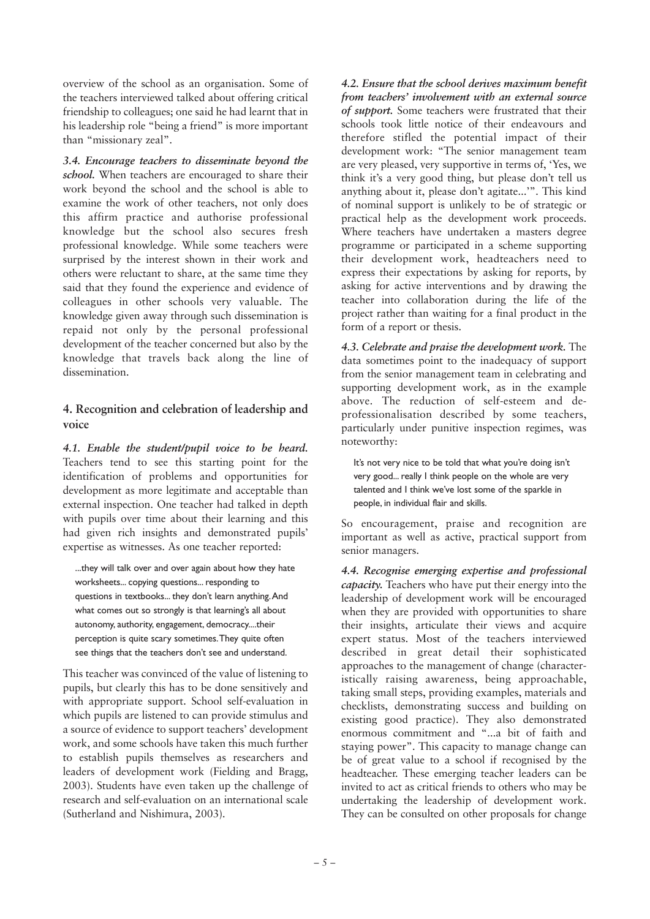overview of the school as an organisation. Some of the teachers interviewed talked about offering critical friendship to colleagues; one said he had learnt that in his leadership role "being a friend" is more important than "missionary zeal".

*3.4. Encourage teachers to disseminate beyond the school.* When teachers are encouraged to share their work beyond the school and the school is able to examine the work of other teachers, not only does this affirm practice and authorise professional knowledge but the school also secures fresh professional knowledge. While some teachers were surprised by the interest shown in their work and others were reluctant to share, at the same time they said that they found the experience and evidence of colleagues in other schools very valuable. The knowledge given away through such dissemination is repaid not only by the personal professional development of the teacher concerned but also by the knowledge that travels back along the line of dissemination.

## **4. Recognition and celebration of leadership and voice**

*4.1. Enable the student/pupil voice to be heard.* Teachers tend to see this starting point for the identification of problems and opportunities for development as more legitimate and acceptable than external inspection. One teacher had talked in depth with pupils over time about their learning and this had given rich insights and demonstrated pupils' expertise as witnesses. As one teacher reported:

...they will talk over and over again about how they hate worksheets... copying questions... responding to questions in textbooks... they don't learn anything.And what comes out so strongly is that learning's all about autonomy, authority, engagement, democracy....their perception is quite scary sometimes.They quite often see things that the teachers don't see and understand.

This teacher was convinced of the value of listening to pupils, but clearly this has to be done sensitively and with appropriate support. School self-evaluation in which pupils are listened to can provide stimulus and a source of evidence to support teachers' development work, and some schools have taken this much further to establish pupils themselves as researchers and leaders of development work (Fielding and Bragg, 2003). Students have even taken up the challenge of research and self-evaluation on an international scale (Sutherland and Nishimura, 2003).

*4.2. Ensure that the school derives maximum benefit from teachers' involvement with an external source of support.* Some teachers were frustrated that their schools took little notice of their endeavours and therefore stifled the potential impact of their development work: "The senior management team are very pleased, very supportive in terms of, 'Yes, we think it's a very good thing, but please don't tell us anything about it, please don't agitate...'". This kind of nominal support is unlikely to be of strategic or practical help as the development work proceeds. Where teachers have undertaken a masters degree programme or participated in a scheme supporting their development work, headteachers need to express their expectations by asking for reports, by asking for active interventions and by drawing the teacher into collaboration during the life of the project rather than waiting for a final product in the form of a report or thesis.

*4.3. Celebrate and praise the development work.* The data sometimes point to the inadequacy of support from the senior management team in celebrating and supporting development work, as in the example above. The reduction of self-esteem and deprofessionalisation described by some teachers, particularly under punitive inspection regimes, was noteworthy:

It's not very nice to be told that what you're doing isn't very good... really I think people on the whole are very talented and I think we've lost some of the sparkle in people, in individual flair and skills.

So encouragement, praise and recognition are important as well as active, practical support from senior managers.

*4.4. Recognise emerging expertise and professional capacity.* Teachers who have put their energy into the leadership of development work will be encouraged when they are provided with opportunities to share their insights, articulate their views and acquire expert status. Most of the teachers interviewed described in great detail their sophisticated approaches to the management of change (characteristically raising awareness, being approachable, taking small steps, providing examples, materials and checklists, demonstrating success and building on existing good practice). They also demonstrated enormous commitment and "...a bit of faith and staying power". This capacity to manage change can be of great value to a school if recognised by the headteacher. These emerging teacher leaders can be invited to act as critical friends to others who may be undertaking the leadership of development work. They can be consulted on other proposals for change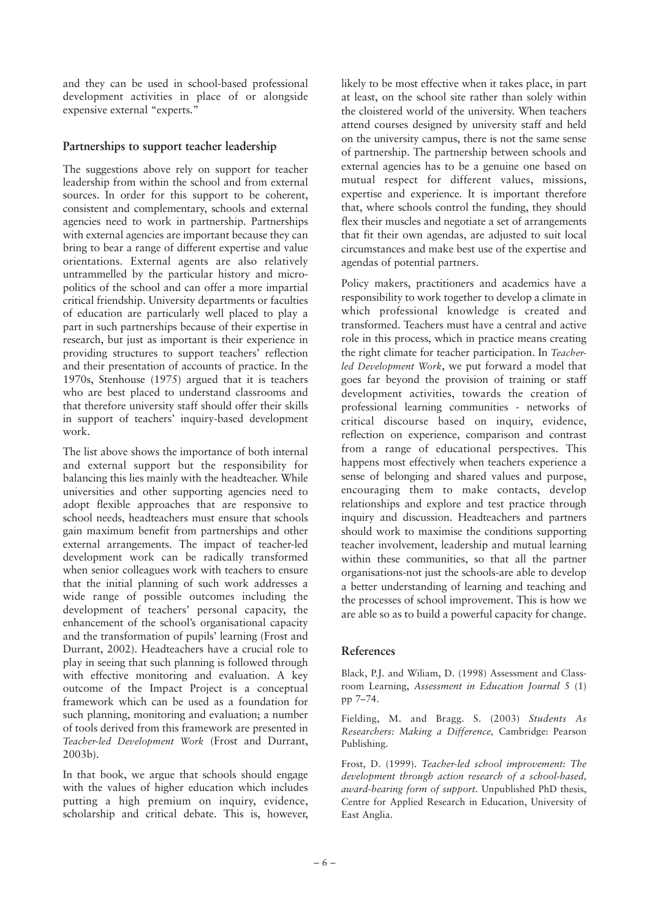and they can be used in school-based professional development activities in place of or alongside expensive external "experts."

## **Partnerships to support teacher leadership**

The suggestions above rely on support for teacher leadership from within the school and from external sources. In order for this support to be coherent, consistent and complementary, schools and external agencies need to work in partnership. Partnerships with external agencies are important because they can bring to bear a range of different expertise and value orientations. External agents are also relatively untrammelled by the particular history and micropolitics of the school and can offer a more impartial critical friendship. University departments or faculties of education are particularly well placed to play a part in such partnerships because of their expertise in research, but just as important is their experience in providing structures to support teachers' reflection and their presentation of accounts of practice. In the 1970s, Stenhouse (1975) argued that it is teachers who are best placed to understand classrooms and that therefore university staff should offer their skills in support of teachers' inquiry-based development work.

The list above shows the importance of both internal and external support but the responsibility for balancing this lies mainly with the headteacher. While universities and other supporting agencies need to adopt flexible approaches that are responsive to school needs, headteachers must ensure that schools gain maximum benefit from partnerships and other external arrangements. The impact of teacher-led development work can be radically transformed when senior colleagues work with teachers to ensure that the initial planning of such work addresses a wide range of possible outcomes including the development of teachers' personal capacity, the enhancement of the school's organisational capacity and the transformation of pupils' learning (Frost and Durrant, 2002). Headteachers have a crucial role to play in seeing that such planning is followed through with effective monitoring and evaluation. A key outcome of the Impact Project is a conceptual framework which can be used as a foundation for such planning, monitoring and evaluation; a number of tools derived from this framework are presented in *Teacher-led Development Work* (Frost and Durrant, 2003b).

In that book, we argue that schools should engage with the values of higher education which includes putting a high premium on inquiry, evidence, scholarship and critical debate. This is, however, likely to be most effective when it takes place, in part at least, on the school site rather than solely within the cloistered world of the university. When teachers attend courses designed by university staff and held on the university campus, there is not the same sense of partnership. The partnership between schools and external agencies has to be a genuine one based on mutual respect for different values, missions, expertise and experience. It is important therefore that, where schools control the funding, they should flex their muscles and negotiate a set of arrangements that fit their own agendas, are adjusted to suit local circumstances and make best use of the expertise and agendas of potential partners.

Policy makers, practitioners and academics have a responsibility to work together to develop a climate in which professional knowledge is created and transformed. Teachers must have a central and active role in this process, which in practice means creating the right climate for teacher participation. In *Teacherled Development Work*, we put forward a model that goes far beyond the provision of training or staff development activities, towards the creation of professional learning communities - networks of critical discourse based on inquiry, evidence, reflection on experience, comparison and contrast from a range of educational perspectives. This happens most effectively when teachers experience a sense of belonging and shared values and purpose, encouraging them to make contacts, develop relationships and explore and test practice through inquiry and discussion. Headteachers and partners should work to maximise the conditions supporting teacher involvement, leadership and mutual learning within these communities, so that all the partner organisations-not just the schools-are able to develop a better understanding of learning and teaching and the processes of school improvement. This is how we are able so as to build a powerful capacity for change.

#### **References**

Black, P.J. and Wiliam, D. (1998) Assessment and Classroom Learning, *Assessment in Education Journal* 5 (1) pp 7–74.

Fielding, M. and Bragg. S. (2003) *Students As Researchers: Making a Difference,* Cambridge: Pearson Publishing.

Frost, D. (1999). *Teacher-led school improvement: The development through action research of a school-based, award-bearing form of support.* Unpublished PhD thesis, Centre for Applied Research in Education, University of East Anglia.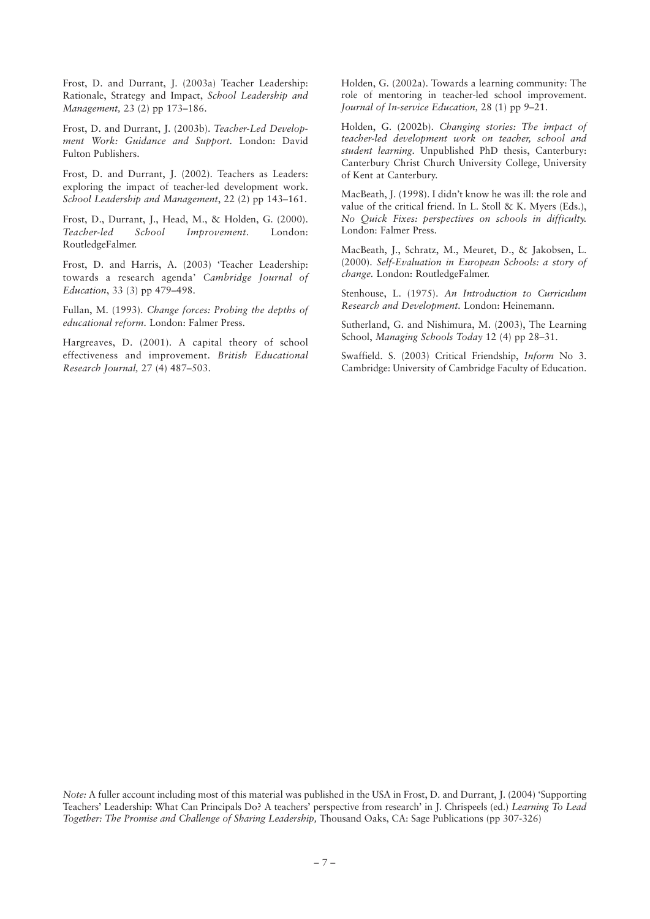Frost, D. and Durrant, J. (2003a) Teacher Leadership: Rationale, Strategy and Impact, *School Leadership and Management,* 23 (2) pp 173–186.

Frost, D. and Durrant, J. (2003b). *Teacher-Led Development Work: Guidance and Support.* London: David Fulton Publishers.

Frost, D. and Durrant, J. (2002). Teachers as Leaders: exploring the impact of teacher-led development work. *School Leadership and Management*, 22 (2) pp 143–161.

Frost, D., Durrant, J., Head, M., & Holden, G. (2000). *Teacher-led School Improvement*. London: RoutledgeFalmer.

Frost, D. and Harris, A. (2003) 'Teacher Leadership: towards a research agenda' *Cambridge Journal of Education*, 33 (3) pp 479–498.

Fullan, M. (1993). *Change forces: Probing the depths of educational reform.* London: Falmer Press.

Hargreaves, D. (2001). A capital theory of school effectiveness and improvement. *British Educational Research Journal,* 27 (4) 487–503.

Holden, G. (2002a). Towards a learning community: The role of mentoring in teacher-led school improvement. *Journal of In-service Education,* 28 (1) pp 9–21.

Holden, G. (2002b). *Changing stories: The impact of teacher-led development work on teacher, school and student learning.* Unpublished PhD thesis, Canterbury: Canterbury Christ Church University College, University of Kent at Canterbury.

MacBeath, J. (1998). I didn't know he was ill: the role and value of the critical friend. In L. Stoll & K. Myers (Eds.), *No Quick Fixes: perspectives on schools in difficulty.* London: Falmer Press.

MacBeath, J., Schratz, M., Meuret, D., & Jakobsen, L. (2000). *Self-Evaluation in European Schools: a story of change.* London: RoutledgeFalmer.

Stenhouse, L. (1975). *An Introduction to Curriculum Research and Development.* London: Heinemann.

Sutherland, G. and Nishimura, M. (2003), The Learning School, *Managing Schools Today* 12 (4) pp 28–31.

Swaffield. S. (2003) Critical Friendship, *Inform* No 3. Cambridge: University of Cambridge Faculty of Education.

*Note:* A fuller account including most of this material was published in the USA in Frost, D. and Durrant, J. (2004) 'Supporting Teachers' Leadership: What Can Principals Do? A teachers' perspective from research' in J. Chrispeels (ed.) *Learning To Lead Together: The Promise and Challenge of Sharing Leadership,* Thousand Oaks, CA: Sage Publications (pp 307-326)